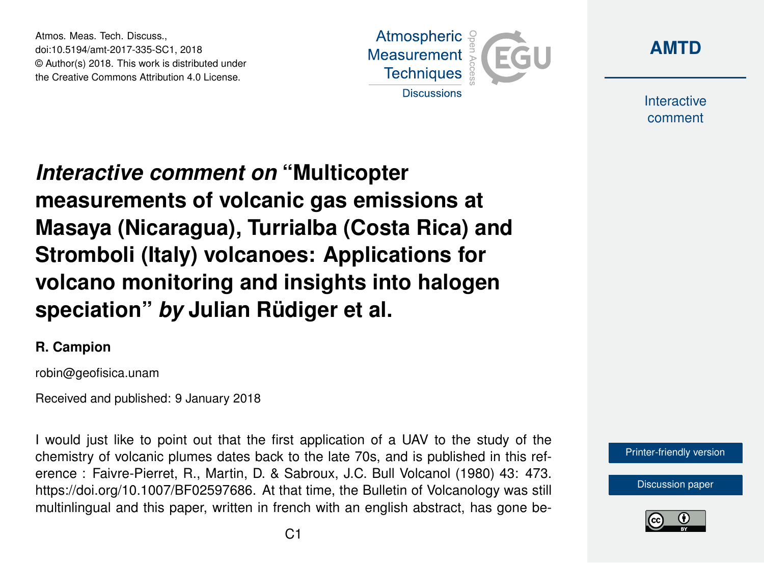Atmos. Meas. Tech. Discuss., doi:10.5194/amt-2017-335-SC1, 2018 © Author(s) 2018. This work is distributed under the Creative Commons Attribution 4.0 License.





Interactive comment

*Interactive comment on* **"Multicopter measurements of volcanic gas emissions at Masaya (Nicaragua), Turrialba (Costa Rica) and Stromboli (Italy) volcanoes: Applications for volcano monitoring and insights into halogen speciation"** *by* **Julian Rüdiger et al.**

## **R. Campion**

robin@geofisica.unam

Received and published: 9 January 2018

I would just like to point out that the first application of a UAV to the study of the chemistry of volcanic plumes dates back to the late 70s, and is published in this reference : Faivre-Pierret, R., Martin, D. & Sabroux, J.C. Bull Volcanol (1980) 43: 473. https://doi.org/10.1007/BF02597686. At that time, the Bulletin of Volcanology was still multinlingual and this paper, written in french with an english abstract, has gone be-



[Discussion paper](https://www.atmos-meas-tech-discuss.net/amt-2017-335)